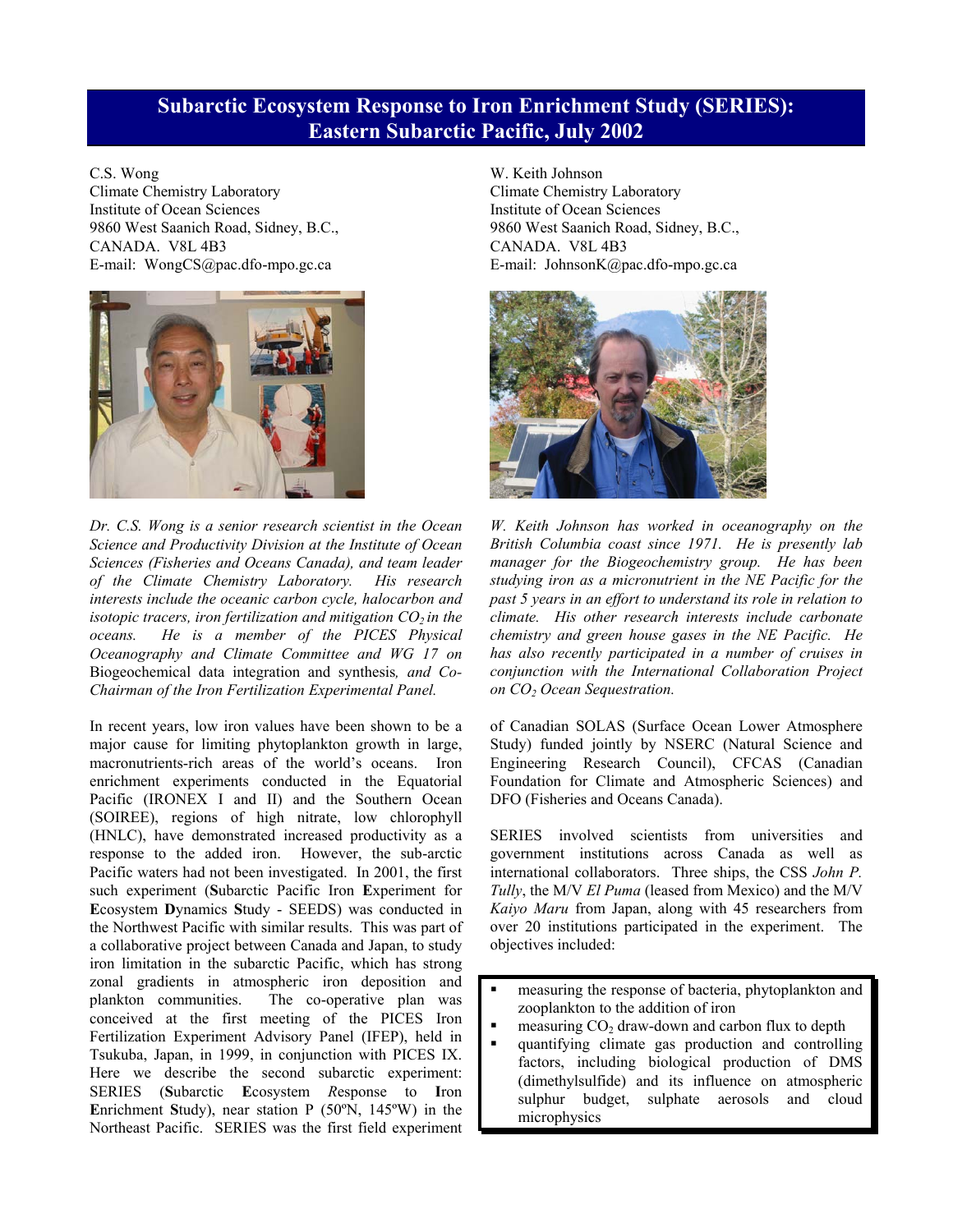## **Subarctic Ecosystem Response to Iron Enrichment Study (SERIES): Eastern Subarctic Pacific, July 2002**

C.S. Wong

Climate Chemistry Laboratory Institute of Ocean Sciences 9860 West Saanich Road, Sidney, B.C., CANADA. V8L 4B3 E-mail: WongCS@pac.dfo-mpo.gc.ca



*Dr. C.S. Wong is a senior research scientist in the Ocean Science and Productivity Division at the Institute of Ocean Sciences (Fisheries and Oceans Canada), and team leader of the Climate Chemistry Laboratory. His research interests include the oceanic carbon cycle, halocarbon and isotopic tracers, iron fertilization and mitigation*  $CO_2$  *in the oceans.* He *is a member of the PICES Physical oceans. He is a member of the PICES Physical Oceanography and Climate Committee and WG 17 on*  Biogeochemical data integration and synthesis*, and Co-Chairman of the Iron Fertilization Experimental Panel.* 

In recent years, low iron values have been shown to be a major cause for limiting phytoplankton growth in large, macronutrients-rich areas of the world's oceans. Iron enrichment experiments conducted in the Equatorial Pacific (IRONEX I and II) and the Southern Ocean (SOIREE), regions of high nitrate, low chlorophyll (HNLC), have demonstrated increased productivity as a response to the added iron. However, the sub-arctic Pacific waters had not been investigated. In 2001, the first such experiment (**S**ubarctic Pacific Iron **E**xperiment for **E**cosystem **D**ynamics **S**tudy - SEEDS) was conducted in the Northwest Pacific with similar results. This was part of a collaborative project between Canada and Japan, to study iron limitation in the subarctic Pacific, which has strong zonal gradients in atmospheric iron deposition and plankton communities. The co-operative plan was conceived at the first meeting of the PICES Iron Fertilization Experiment Advisory Panel (IFEP), held in Tsukuba, Japan, in 1999, in conjunction with PICES IX. Here we describe the second subarctic experiment: SERIES (**S**ubarctic **E**cosystem *R*esponse to **I**ron **E**nrichment **S**tudy), near station P (50ºN, 145ºW) in the Northeast Pacific. SERIES was the first field experiment

W. Keith Johnson Climate Chemistry Laboratory Institute of Ocean Sciences 9860 West Saanich Road, Sidney, B.C., CANADA. V8L 4B3 E-mail: JohnsonK@pac.dfo-mpo.gc.ca



*W. Keith Johnson has worked in oceanography on the British Columbia coast since 1971. He is presently lab manager for the Biogeochemistry group. He has been studying iron as a micronutrient in the NE Pacific for the past 5 years in an effort to understand its role in relation to climate. His other research interests include carbonate chemistry and green house gases in the NE Pacific. He has also recently participated in a number of cruises in conjunction with the International Collaboration Project on CO<sub>2</sub> Ocean Sequestration.* 

of Canadian SOLAS (Surface Ocean Lower Atmosphere Study) funded jointly by NSERC (Natural Science and Engineering Research Council), CFCAS (Canadian Foundation for Climate and Atmospheric Sciences) and DFO (Fisheries and Oceans Canada).

SERIES involved scientists from universities and government institutions across Canada as well as international collaborators. Three ships, the CSS *John P. Tully*, the M/V *El Puma* (leased from Mexico) and the M/V *Kaiyo Maru* from Japan, along with 45 researchers from over 20 institutions participated in the experiment. The objectives included:

- **Exercise 1** measuring the response of bacteria, phytoplankton and zooplankton to the addition of iron
- $\blacksquare$  measuring CO<sub>2</sub> draw-down and carbon flux to depth
- quantifying climate gas production and controlling factors, including biological production of DMS (dimethylsulfide) and its influence on atmospheric sulphur budget, sulphate aerosols and cloud microphysics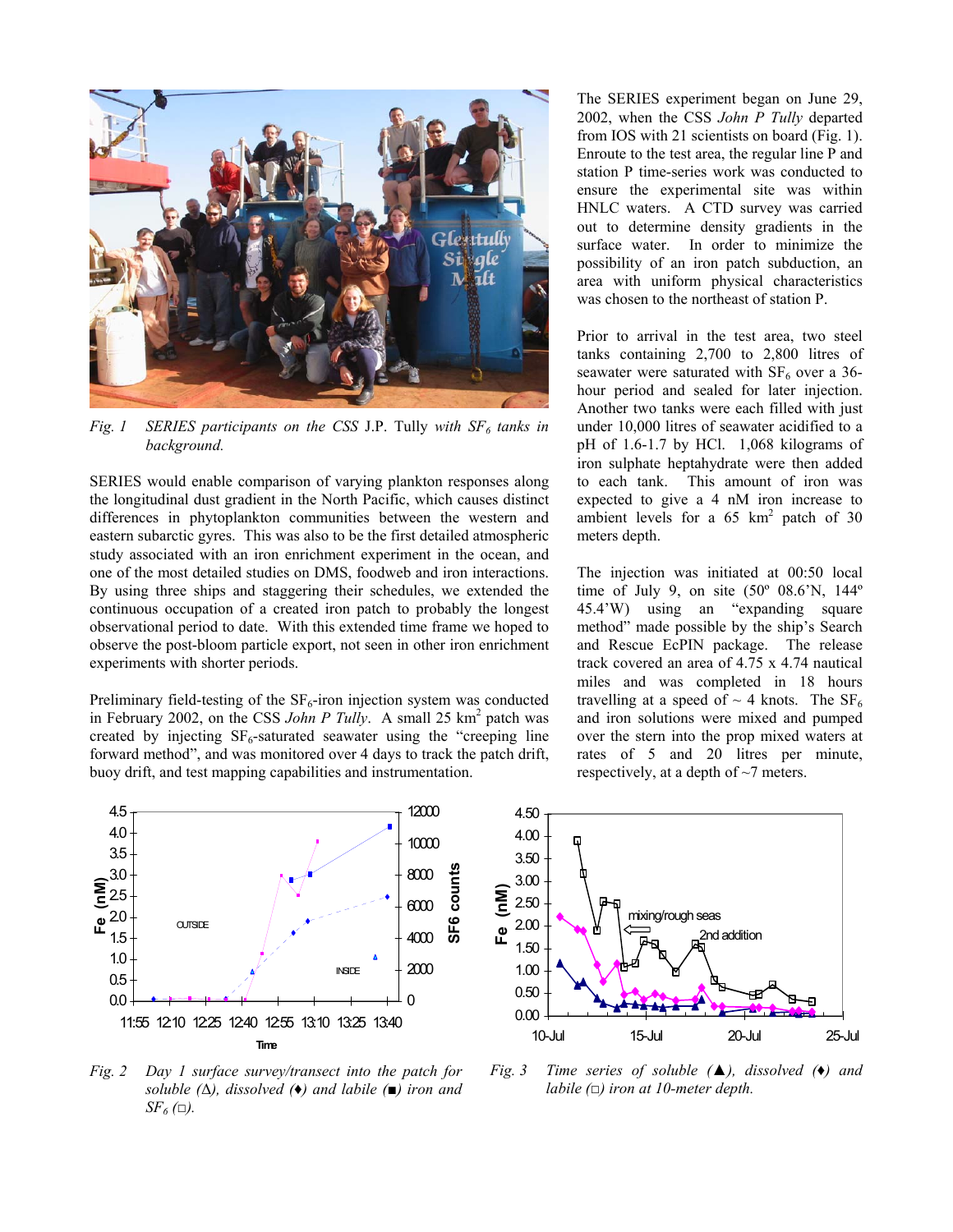

 $Fig. 1$  *SERIES participants on the CSS J.P. Tully with*  $SF<sub>6</sub>$  *tanks in background.* 

SERIES would enable comparison of varying plankton responses along the longitudinal dust gradient in the North Pacific, which causes distinct differences in phytoplankton communities between the western and eastern subarctic gyres. This was also to be the first detailed atmospheric study associated with an iron enrichment experiment in the ocean, and one of the most detailed studies on DMS, foodweb and iron interactions. By using three ships and staggering their schedules, we extended the continuous occupation of a created iron patch to probably the longest observational period to date. With this extended time frame we hoped to observe the post-bloom particle export, not seen in other iron enrichment experiments with shorter periods.

Preliminary field-testing of the  $SF_6$ -iron injection system was conducted in February 2002, on the CSS John P Tully. A small 25 km<sup>2</sup> patch was created by injecting  $SF_6$ -saturated seawater using the "creeping line" forward method", and was monitored over 4 days to track the patch drift, buoy drift, and test mapping capabilities and instrumentation.

The SERIES experiment began on June 29, 2002, when the CSS *John P Tully* departed from IOS with 21 scientists on board (Fig. 1). Enroute to the test area, the regular line P and station P time-series work was conducted to ensure the experimental site was within HNLC waters. A CTD survey was carried out to determine density gradients in the surface water. In order to minimize the possibility of an iron patch subduction, an area with uniform physical characteristics was chosen to the northeast of station P.

Prior to arrival in the test area, two steel tanks containing 2,700 to 2,800 litres of seawater were saturated with  $SF<sub>6</sub>$  over a 36hour period and sealed for later injection. Another two tanks were each filled with just under 10,000 litres of seawater acidified to a pH of 1.6-1.7 by HCl. 1,068 kilograms of iron sulphate heptahydrate were then added to each tank. This amount of iron was expected to give a 4 nM iron increase to ambient levels for a  $65 \text{ km}^2$  patch of  $30$ meters depth.

The injection was initiated at 00:50 local time of July 9, on site  $(50^{\circ}$  08.6'N, 144 $^{\circ}$ 45.4'W) using an "expanding square method" made possible by the ship's Search and Rescue EcPIN package. The release track covered an area of 4.75 x 4.74 nautical miles and was completed in 18 hours travelling at a speed of  $\sim$  4 knots. The SF<sub>6</sub> and iron solutions were mixed and pumped over the stern into the prop mixed waters at rates of 5 and 20 litres per minute, respectively, at a depth of  $\sim$ 7 meters.



*Fig. 2 Day 1 surface survey/transect into the patch for soluble (*∆*), dissolved (*♦*) and labile (■) iron and*   $SF_6$  ( $\square$ ).



*Fig. 3 Time series of soluble (▲), dissolved (♦) and labile (□) iron at 10-meter depth.*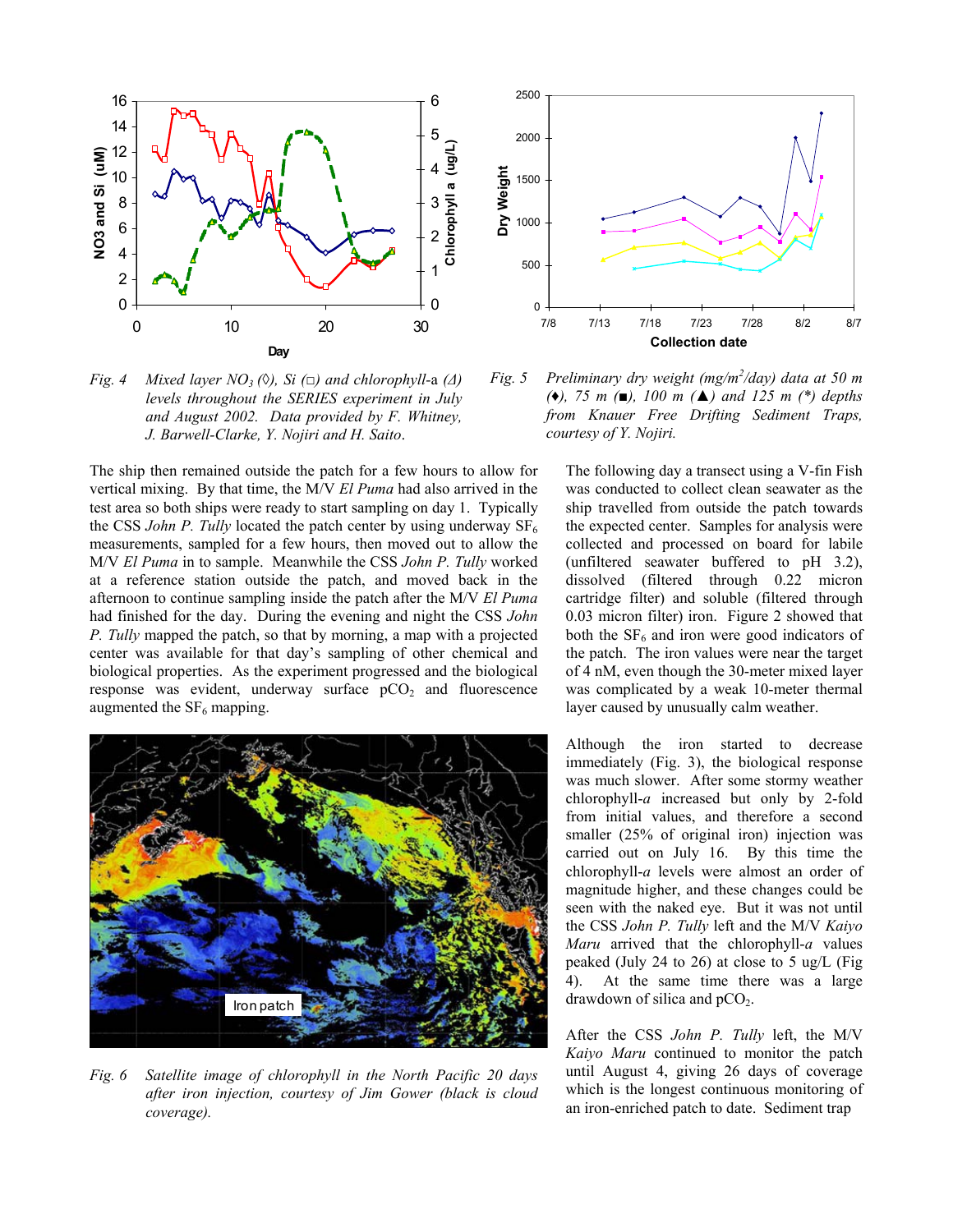

*Fig. 4 Mixed layer NO<sub>3</sub> (* $\Diamond$ *), Si (* $\Box$ *) and chlorophyll-a (* $\Diamond$ *) levels throughout the SERIES experiment in July and August 2002. Data provided by F. Whitney, J. Barwell-Clarke, Y. Nojiri and H. Saito*.

The ship then remained outside the patch for a few hours to allow for vertical mixing. By that time, the M/V *El Puma* had also arrived in the test area so both ships were ready to start sampling on day 1. Typically the CSS *John P. Tully* located the patch center by using underway  $SF_6$ measurements, sampled for a few hours, then moved out to allow the M/V *El Puma* in to sample. Meanwhile the CSS *John P. Tully* worked at a reference station outside the patch, and moved back in the afternoon to continue sampling inside the patch after the M/V *El Puma* had finished for the day. During the evening and night the CSS *John P. Tully* mapped the patch, so that by morning, a map with a projected center was available for that day's sampling of other chemical and biological properties. As the experiment progressed and the biological response was evident, underway surface  $pCO<sub>2</sub>$  and fluorescence augmented the  $SF<sub>6</sub>$  mapping.



*Fig. 6 Satellite image of chlorophyll in the North Pacific 20 days after iron injection, courtesy of Jim Gower (black is cloud coverage).*



*Fig. 5 Preliminary dry weight (mg/m<sup>2</sup> /day) data at 50 m (♦), 75 m (■), 100 m (▲) and 125 m (\*) depths from Knauer Free Drifting Sediment Traps, courtesy of Y. Nojiri.*

The following day a transect using a V-fin Fish was conducted to collect clean seawater as the ship travelled from outside the patch towards the expected center. Samples for analysis were collected and processed on board for labile (unfiltered seawater buffered to pH 3.2), dissolved (filtered through 0.22 micron cartridge filter) and soluble (filtered through 0.03 micron filter) iron. Figure 2 showed that both the  $SF<sub>6</sub>$  and iron were good indicators of the patch. The iron values were near the target of 4 nM, even though the 30-meter mixed layer was complicated by a weak 10-meter thermal layer caused by unusually calm weather.

Although the iron started to decrease immediately (Fig. 3), the biological response was much slower. After some stormy weather chlorophyll-*a* increased but only by 2-fold from initial values, and therefore a second smaller (25% of original iron) injection was carried out on July 16. By this time the chlorophyll-*a* levels were almost an order of magnitude higher, and these changes could be seen with the naked eye. But it was not until the CSS *John P. Tully* left and the M/V *Kaiyo Maru* arrived that the chlorophyll-*a* values peaked (July 24 to 26) at close to 5 ug/L (Fig 4). At the same time there was a large drawdown of silica and  $pCO<sub>2</sub>$ .

After the CSS *John P. Tully* left, the M/V *Kaiyo Maru* continued to monitor the patch until August 4, giving 26 days of coverage which is the longest continuous monitoring of an iron-enriched patch to date. Sediment trap